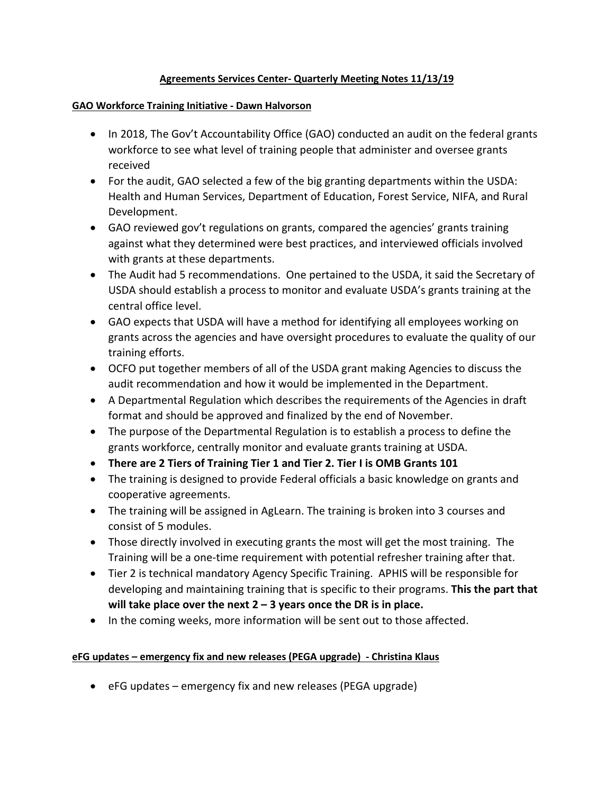## **Agreements Services Center- Quarterly Meeting Notes 11/13/19**

### **GAO Workforce Training Initiative - Dawn Halvorson**

- In 2018, The Gov't Accountability Office (GAO) conducted an audit on the federal grants workforce to see what level of training people that administer and oversee grants received
- For the audit, GAO selected a few of the big granting departments within the USDA: Health and Human Services, Department of Education, Forest Service, NIFA, and Rural Development.
- GAO reviewed gov't regulations on grants, compared the agencies' grants training against what they determined were best practices, and interviewed officials involved with grants at these departments.
- The Audit had 5 recommendations. One pertained to the USDA, it said the Secretary of USDA should establish a process to monitor and evaluate USDA's grants training at the central office level.
- GAO expects that USDA will have a method for identifying all employees working on grants across the agencies and have oversight procedures to evaluate the quality of our training efforts.
- OCFO put together members of all of the USDA grant making Agencies to discuss the audit recommendation and how it would be implemented in the Department.
- A Departmental Regulation which describes the requirements of the Agencies in draft format and should be approved and finalized by the end of November.
- The purpose of the Departmental Regulation is to establish a process to define the grants workforce, centrally monitor and evaluate grants training at USDA.
- **There are 2 Tiers of Training Tier 1 and Tier 2. Tier I is OMB Grants 101**
- The training is designed to provide Federal officials a basic knowledge on grants and cooperative agreements.
- The training will be assigned in AgLearn. The training is broken into 3 courses and consist of 5 modules.
- Those directly involved in executing grants the most will get the most training. The Training will be a one-time requirement with potential refresher training after that.
- Tier 2 is technical mandatory Agency Specific Training. APHIS will be responsible for developing and maintaining training that is specific to their programs. **This the part that will take place over the next 2 – 3 years once the DR is in place.**
- In the coming weeks, more information will be sent out to those affected.

# **eFG updates – emergency fix and new releases (PEGA upgrade) - Christina Klaus**

• eFG updates – emergency fix and new releases (PEGA upgrade)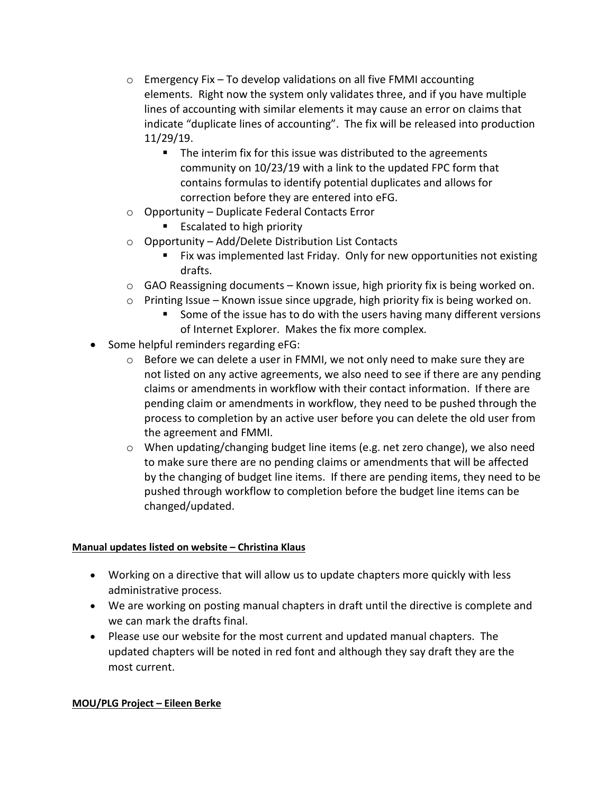- $\circ$  Emergency Fix To develop validations on all five FMMI accounting elements. Right now the system only validates three, and if you have multiple lines of accounting with similar elements it may cause an error on claims that indicate "duplicate lines of accounting". The fix will be released into production 11/29/19.
	- The interim fix for this issue was distributed to the agreements community on 10/23/19 with a link to the updated FPC form that contains formulas to identify potential duplicates and allows for correction before they are entered into eFG.
- o Opportunity Duplicate Federal Contacts Error
	- **Excalated to high priority**
- o Opportunity Add/Delete Distribution List Contacts
	- Fix was implemented last Friday. Only for new opportunities not existing drafts.
- $\circ$  GAO Reassigning documents Known issue, high priority fix is being worked on.
- $\circ$  Printing Issue Known issue since upgrade, high priority fix is being worked on.
	- **Some of the issue has to do with the users having many different versions** of Internet Explorer. Makes the fix more complex.
- Some helpful reminders regarding eFG:
	- $\circ$  Before we can delete a user in FMMI, we not only need to make sure they are not listed on any active agreements, we also need to see if there are any pending claims or amendments in workflow with their contact information. If there are pending claim or amendments in workflow, they need to be pushed through the process to completion by an active user before you can delete the old user from the agreement and FMMI.
	- o When updating/changing budget line items (e.g. net zero change), we also need to make sure there are no pending claims or amendments that will be affected by the changing of budget line items. If there are pending items, they need to be pushed through workflow to completion before the budget line items can be changed/updated.

### **Manual updates listed on website – Christina Klaus**

- Working on a directive that will allow us to update chapters more quickly with less administrative process.
- We are working on posting manual chapters in draft until the directive is complete and we can mark the drafts final.
- Please use our website for the most current and updated manual chapters. The updated chapters will be noted in red font and although they say draft they are the most current.

### **MOU/PLG Project – Eileen Berke**